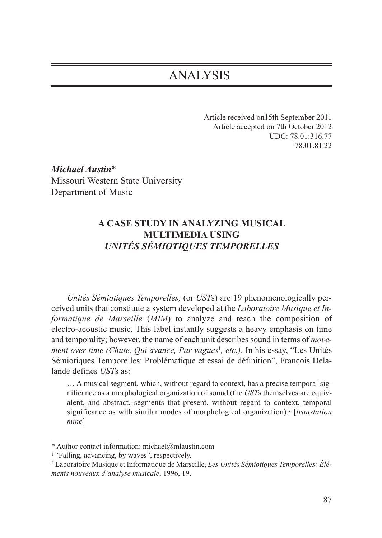# ANALYSIS

Article received on15th September 2011 Article accepted on 7th October 2012 UDC: 78.01:316.77 78.01:81'22

*Michael Austin*\* Missouri Western State University Department of Music

## **A CASE STUDY IN ANALYZING MUSICAL MULTIMEDIA USING** *UNITÉS SÉMIOTIQUES TEMPORELLES*

*Unités Sémiotiques Temporelles,* (or *UST*s) are 19 phenomenologically perceived units that constitute a system developed at the *Laboratoire Musique et Informatique de Marseille* (*MIM*) to analyze and teach the composition of electro-acoustic music. This label instantly suggests a heavy emphasis on time and temporality; however, the name of each unit describes sound in terms of *move*ment over time (Chute, Qui avance, Par vagues<sup>1</sup>, etc.). In his essay, "Les Unités Sémiotiques Temporelles: Problématique et essai de définition", François Delalande defines *UST*s as:

… A musical segment, which, without regard to context, has a precise temporal significance as a morphological organization of sound (the *UST*s themselves are equivalent, and abstract, segments that present, without regard to context, temporal significance as with similar modes of morphological organization).2 [*translation mine*]

<sup>\*</sup> Author contact information: michael@mlaustin.com

<sup>&</sup>lt;sup>1</sup> "Falling, advancing, by waves", respectively.

<sup>2</sup> Laboratoire Musique et Informatique de Marseille, *Les Unités Sémiotiques Temporelles: Éléments nouveaux d'analyse musicale*, 1996, 19.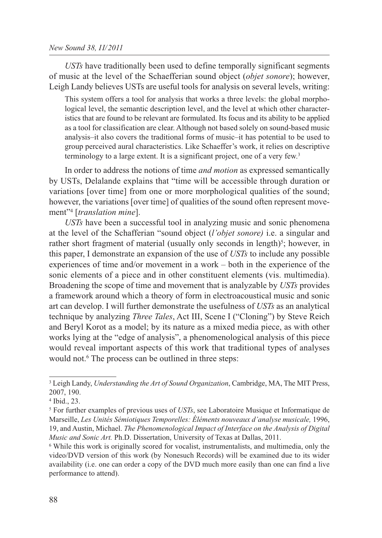*USTs* have traditionally been used to define temporally significant segments of music at the level of the Schaefferian sound object (*objet sonore*); however, Leigh Landy believes USTs are useful tools for analysis on several levels, writing:

This system offers a tool for analysis that works a three levels: the global morphological level, the semantic description level, and the level at which other characteristics that are found to be relevant are formulated. Its focus and its ability to be applied as a tool for classification are clear. Although not based solely on sound-based music analysis–it also covers the traditional forms of music–it has potential to be used to group perceived aural characteristics. Like Schaeffer's work, it relies on descriptive terminology to a large extent. It is a significant project, one of a very few.3

In order to address the notions of time *and motion* as expressed semantically by USTs, Delalande explains that "time will be accessible through duration or variations [over time] from one or more morphological qualities of the sound; however, the variations [over time] of qualities of the sound often represent movement"4 [*translation mine*].

*USTs* have been a successful tool in analyzing music and sonic phenomena at the level of the Schafferian "sound object (*l'objet sonore)* i.e. a singular and rather short fragment of material (usually only seconds in length)<sup>5</sup>; however, in this paper, I demonstrate an expansion of the use of *USTs* to include any possible experiences of time and/or movement in a work – both in the experience of the sonic elements of a piece and in other constituent elements (vis. multimedia). Broadening the scope of time and movement that is analyzable by *USTs* provides a framework around which a theory of form in electroacoustical music and sonic art can develop. I will further demonstrate the usefulness of *USTs* as an analytical technique by analyzing *Three Tales*, Act III, Scene I ("Cloning") by Steve Reich and Beryl Korot as a model; by its nature as a mixed media piece, as with other works lying at the "edge of analysis", a phenomenological analysis of this piece would reveal important aspects of this work that traditional types of analyses would not.<sup>6</sup> The process can be outlined in three steps:

<sup>3</sup> Leigh Landy, *Understanding the Art of Sound Organization*, Cambridge, MA, The MIT Press, 2007, 190.

<sup>4</sup> Ibid., 23.

<sup>5</sup> For further examples of previous uses of *USTs*, see Laboratoire Musique et Informatique de Marseille, *Les Unités Sémiotiques Temporelles: Éléments nouveaux d'analyse musicale*, 1996, 19, and Austin, Michael. *The Phenomenological Impact of Interface on the Analysis of Digital Music and Sonic Art.* Ph.D. Dissertation, University of Texas at Dallas, 2011.

<sup>6</sup> While this work is originally scored for vocalist, instrumentalists, and multimedia, only the video/DVD version of this work (by Nonesuch Records) will be examined due to its wider availability (i.e. one can order a copy of the DVD much more easily than one can find a live performance to attend).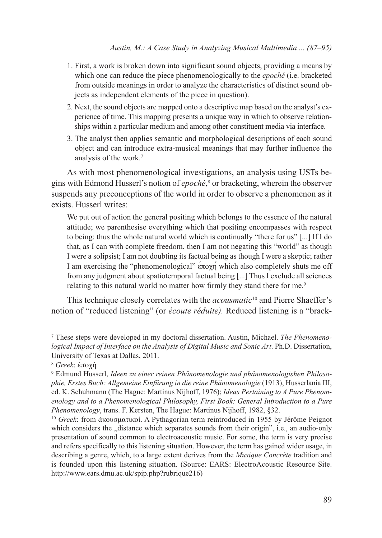- 1. First, a work is broken down into significant sound objects, providing a means by which one can reduce the piece phenomenologically to the *epoché* (i.e. bracketed from outside meanings in order to analyze the characteristics of distinct sound objects as independent elements of the piece in question).
- 2. Next, the sound objects are mapped onto a descriptive map based on the analyst's experience of time. This mapping presents a unique way in which to observe relationships within a particular medium and among other constituent media via interface.
- 3. The analyst then applies semantic and morphological descriptions of each sound object and can introduce extra-musical meanings that may further influence the analysis of the work.7

As with most phenomenological investigations, an analysis using USTs begins with Edmond Husserl's notion of *epoché*, <sup>8</sup> or bracketing, wherein the observer suspends any preconceptions of the world in order to observe a phenomenon as it exists. Husserl writes:

We put out of action the general positing which belongs to the essence of the natural attitude; we parenthesise everything which that positing encompasses with respect to being: thus the whole natural world which is continually "there for us" [...] If I do that, as I can with complete freedom, then I am not negating this "world" as though I were a solipsist; I am not doubting its factual being as though I were a skeptic; rather I am exercising the "phenomenological" έποχή which also completely shuts me off from any judgment about spatiotemporal factual being [...] Thus I exclude all sciences relating to this natural world no matter how firmly they stand there for me.<sup>9</sup>

This technique closely correlates with the *acousmatic*<sup>10</sup> and Pierre Shaeffer's notion of "reduced listening" (or *écoute réduite).* Reduced listening is a "brack-

<sup>7</sup> These steps were developed in my doctoral dissertation. Austin, Michael. *The Phenomenological Impact of Interface on the Analysis of Digital Music and Sonic Art*. Ph.D. Dissertation, University of Texas at Dallas, 2011.

<sup>8</sup> *Greek*: ἐποχή

<sup>9</sup> Edmund Husserl, *Ideen zu einer reinen Phänomenologie und phänomenologishen Philosophie, Erstes Buch: Allgemeine Einfürung in die reine Phänomenologie* (1913), Husserlania III, ed. K. Schuhmann (The Hague: Martinus Nijhoff, 1976); *Ideas Pertaining to A Pure Phenomenology and to a Phenomenological Philosophy, First Book: General Introduction to a Pure Phenomenology*, trans. F. Kersten, The Hague: Martinus Nijhoff, 1982, §32.<br><sup>10</sup> *Greek*: from ἀκουσματικοί. A Pythagorian term reintroduced in 1955 by Jérôme Peignot

which considers the "distance which separates sounds from their origin", i.e., an audio-only presentation of sound common to electroacoustic music. For some, the term is very precise and refers specifically to this listening situation. However, the term has gained wider usage, in describing a genre, which, to a large extent derives from the *Musique Concrète* tradition and is founded upon this listening situation. (Source: EARS: ElectroAcoustic Resource Site. http://www.ears.dmu.ac.uk/spip.php?rubrique216)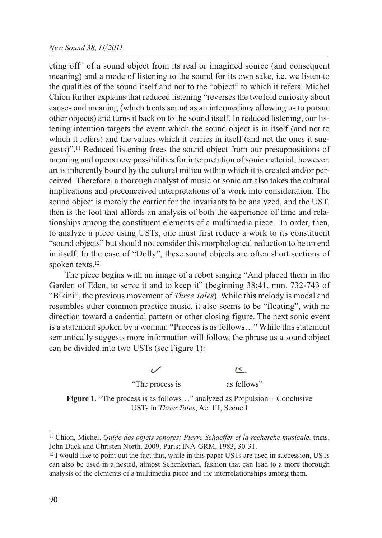#### *New Sound 38, II/2011*

eting off" of a sound object from its real or imagined source (and consequent meaning) and a mode of listening to the sound for its own sake, i.e. we listen to the qualities of the sound itself and not to the "object" to which it refers. Michel Chion further explains that reduced listening "reverses the twofold curiosity about causes and meaning (which treats sound as an intermediary allowing us to pursue other objects) and turns it back on to the sound itself. In reduced listening, our listening intention targets the event which the sound object is in itself (and not to which it refers) and the values which it carries in itself (and not the ones it suggests)".11 Reduced listening frees the sound object from our presuppositions of meaning and opens new possibilities for interpretation of sonic material; however, art is inherently bound by the cultural milieu within which it is created and/or perceived. Therefore, a thorough analyst of music or sonic art also takes the cultural implications and preconceived interpretations of a work into consideration. The sound object is merely the carrier for the invariants to be analyzed, and the UST, then is the tool that affords an analysis of both the experience of time and relationships among the constituent elements of a multimedia piece. In order, then, to analyze a piece using USTs, one must first reduce a work to its constituent "sound objects" but should not consider this morphological reduction to be an end in itself. In the case of "Dolly", these sound objects are often short sections of spoken texts.<sup>12</sup>

The piece begins with an image of a robot singing "And placed them in the Garden of Eden, to serve it and to keep it" (beginning 38:41, mm. 732-743 of "Bikini", the previous movement of *Three Tales*). While this melody is modal and resembles other common practice music, it also seems to be "floating", with no direction toward a cadential pattern or other closing figure. The next sonic event is a statement spoken by a woman: "Process is as follows…" While this statement semantically suggests more information will follow, the phrase as a sound object can be divided into two USTs (see Figure 1):

 $\leq$ .

"The process is as follows"

**Figure 1**. "The process is as follows…" analyzed as Propulsion + Conclusive USTs in *Three Tales*, Act III, Scene I

<sup>11</sup> Chion, Michel. *Guide des objets sonores: Pierre Schaeffer et la recherche musicale*. trans. John Dack and Christen North. 2009, Paris: INA-GRM, 1983, 30-31.

 $12$  I would like to point out the fact that, while in this paper USTs are used in succession, USTs can also be used in a nested, almost Schenkerian, fashion that can lead to a more thorough analysis of the elements of a multimedia piece and the interrelationships among them.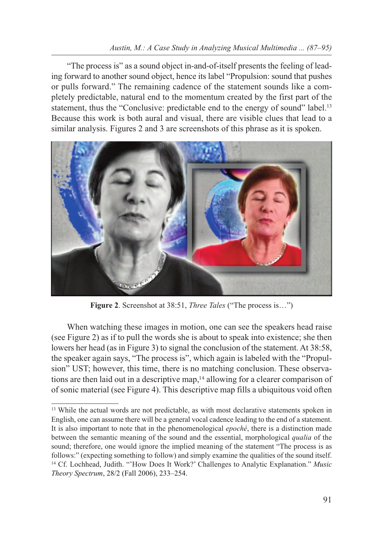### *Austin, M.: A Case Study in Analyzing Musical Multimedia ... (87–95)*

"The process is" as a sound object in-and-of-itself presents the feeling of leading forward to another sound object, hence its label "Propulsion: sound that pushes or pulls forward." The remaining cadence of the statement sounds like a completely predictable, natural end to the momentum created by the first part of the statement, thus the "Conclusive: predictable end to the energy of sound" label.<sup>13</sup> Because this work is both aural and visual, there are visible clues that lead to a similar analysis. Figures 2 and 3 are screenshots of this phrase as it is spoken.



**Figure 2**. Screenshot at 38:51, *Three Tales* ("The process is…")

When watching these images in motion, one can see the speakers head raise (see Figure 2) as if to pull the words she is about to speak into existence; she then lowers her head (as in Figure 3) to signal the conclusion of the statement. At 38:58, the speaker again says, "The process is", which again is labeled with the "Propulsion" UST; however, this time, there is no matching conclusion. These observations are then laid out in a descriptive map,<sup>14</sup> allowing for a clearer comparison of of sonic material (see Figure 4). This descriptive map fills a ubiquitous void often

<sup>&</sup>lt;sup>13</sup> While the actual words are not predictable, as with most declarative statements spoken in English, one can assume there will be a general vocal cadence leading to the end of a statement. It is also important to note that in the phenomenological *epoché*, there is a distinction made between the semantic meaning of the sound and the essential, morphological *qualia* of the sound; therefore, one would ignore the implied meaning of the statement "The process is as follows:" (expecting something to follow) and simply examine the qualities of the sound itself. <sup>14</sup> Cf. Lochhead, Judith. "'How Does It Work?' Challenges to Analytic Explanation." *Music Theory Spectrum*, 28/2 (Fall 2006), 233–254.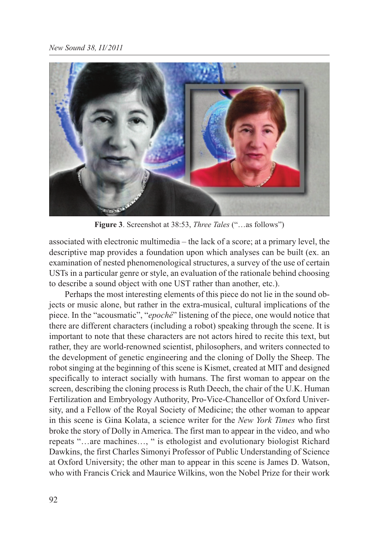

**Figure 3**. Screenshot at 38:53, *Three Tales* ("…as follows")

associated with electronic multimedia – the lack of a score; at a primary level, the descriptive map provides a foundation upon which analyses can be built (ex. an examination of nested phenomenological structures, a survey of the use of certain USTs in a particular genre or style, an evaluation of the rationale behind choosing to describe a sound object with one UST rather than another, etc.).

Perhaps the most interesting elements of this piece do not lie in the sound objects or music alone, but rather in the extra-musical, cultural implications of the piece. In the "acousmatic", "*epoché*" listening of the piece, one would notice that there are different characters (including a robot) speaking through the scene. It is important to note that these characters are not actors hired to recite this text, but rather, they are world-renowned scientist, philosophers, and writers connected to the development of genetic engineering and the cloning of Dolly the Sheep. The robot singing at the beginning of this scene is Kismet, created at MIT and designed specifically to interact socially with humans. The first woman to appear on the screen, describing the cloning process is Ruth Deech, the chair of the U.K. Human Fertilization and Embryology Authority, Pro-Vice-Chancellor of Oxford University, and a Fellow of the Royal Society of Medicine; the other woman to appear in this scene is Gina Kolata, a science writer for the *New York Times* who first broke the story of Dolly in America. The first man to appear in the video, and who repeats "…are machines…, " is ethologist and evolutionary biologist Richard Dawkins, the first Charles Simonyi Professor of Public Understanding of Science at Oxford University; the other man to appear in this scene is James D. Watson, who with Francis Crick and Maurice Wilkins, won the Nobel Prize for their work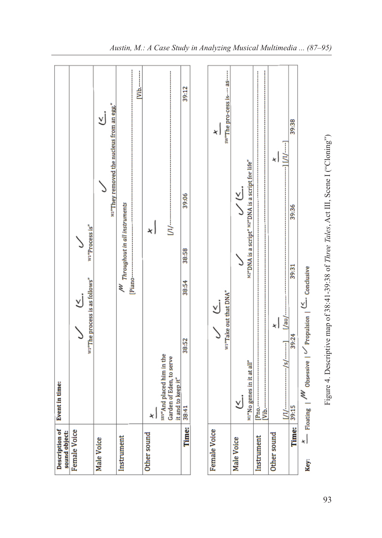| Description of<br>sound object: | <b>Event in time:</b>                                                                                   |
|---------------------------------|---------------------------------------------------------------------------------------------------------|
| <b>Female Voice</b>             | W1"Process is"<br>wi"The process is as follows"<br>Y                                                    |
| Male Voice                      | м1"They removed the nucleus from an egg."<br>Y                                                          |
| Instrument                      | $V$ <sub>1</sub> b <sub>2</sub> $\cdots$<br>M Throughout in all instruments<br>Piano-                   |
| Other sound                     | ×١<br>×                                                                                                 |
|                                 | <u>і</u><br>Ш<br>sav"And placed him in the<br>Garden of Eden, to serve<br>it and to keep it"            |
| Time:                           | 39:12<br>39:06<br>38:58<br>38:54<br>38:52<br>38:41                                                      |
|                                 |                                                                                                         |
| <b>Female Voice</b>             | sw"The pro-cess is---- as-----<br>×١<br>wi"Take out that DNA"<br>Σj                                     |
| Male Voice                      | "DNA is a script" <sup>M2"</sup> DNA is a script for life"<br>ن<br>ک<br>M1"No genes in it at all"<br>٧j |
| Instrument                      | $V1b$ .<br>Pno.--                                                                                       |
| Other sound                     | ×<br>×۱                                                                                                 |
| Time:                           | 39:38<br>39:36<br>39:31<br>—\us\ <br>39:24<br>$1/1/$ $1/2$ $1/3/$ $1/3/$<br>39:15                       |
| Key:                            | $x$ Floating   $\frac{MV}{W}$ Obsessive   $\frac{V}{V}$ Propulsion   $\frac{K}{V}$ Conclusive           |

Figure 4. Descriptive map of 38:41-39:38 of Three Tales, Act III, Scene I ("Cloning") 93Figure 4. Descriptive map of 38:41-39:38 of *Three Tales*, Act III, Scene I ("Cloning")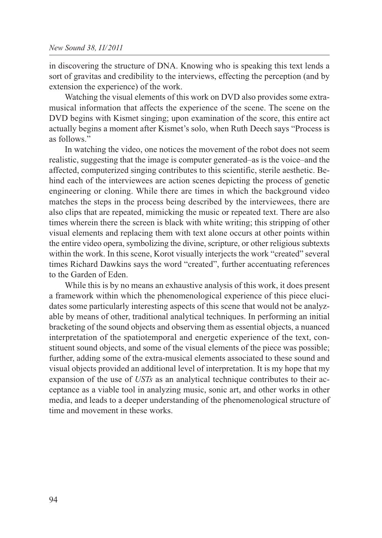in discovering the structure of DNA. Knowing who is speaking this text lends a sort of gravitas and credibility to the interviews, effecting the perception (and by extension the experience) of the work.

Watching the visual elements of this work on DVD also provides some extramusical information that affects the experience of the scene. The scene on the DVD begins with Kismet singing; upon examination of the score, this entire act actually begins a moment after Kismet's solo, when Ruth Deech says "Process is as follows."

In watching the video, one notices the movement of the robot does not seem realistic, suggesting that the image is computer generated–as is the voice–and the affected, computerized singing contributes to this scientific, sterile aesthetic. Behind each of the interviewees are action scenes depicting the process of genetic engineering or cloning. While there are times in which the background video matches the steps in the process being described by the interviewees, there are also clips that are repeated, mimicking the music or repeated text. There are also times wherein there the screen is black with white writing; this stripping of other visual elements and replacing them with text alone occurs at other points within the entire video opera, symbolizing the divine, scripture, or other religious subtexts within the work. In this scene, Korot visually interjects the work "created" several times Richard Dawkins says the word "created", further accentuating references to the Garden of Eden.

While this is by no means an exhaustive analysis of this work, it does present a framework within which the phenomenological experience of this piece elucidates some particularly interesting aspects of this scene that would not be analyzable by means of other, traditional analytical techniques. In performing an initial bracketing of the sound objects and observing them as essential objects, a nuanced interpretation of the spatiotemporal and energetic experience of the text, constituent sound objects, and some of the visual elements of the piece was possible; further, adding some of the extra-musical elements associated to these sound and visual objects provided an additional level of interpretation. It is my hope that my expansion of the use of *USTs* as an analytical technique contributes to their acceptance as a viable tool in analyzing music, sonic art, and other works in other media, and leads to a deeper understanding of the phenomenological structure of time and movement in these works.